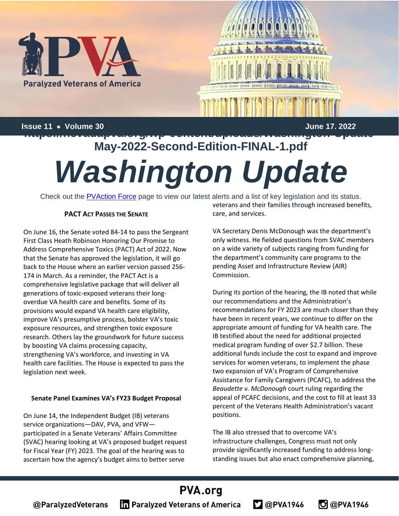

**Issue 11** • **Volume 30 June 17, 2022 https://nevadapva.org/wp-content/uploads/Washington-Update-**

# **May-2022-Second-Edition-FINAL-1.pdf** *Washington Update*

Check out the **PVAction Force** page to view our latest alerts and a list of key legislation and its status.

#### **PACT ACT PASSES THE SENATE**

On June 16, the Senate voted 84-14 to pass the Sergeant First Class Heath Robinson Honoring Our Promise to Address Comprehensive Toxics (PACT) Act of 2022. Now that the Senate has approved the legislation, it will go back to the House where an earlier version passed 256- 174 in March. As a reminder, the PACT Act is a comprehensive legislative package that will deliver all generations of toxic-exposed veterans their longoverdue VA health care and benefits. Some of its provisions would expand VA health care eligibility, improve VA's presumptive process, bolster VA's toxic exposure resources, and strengthen toxic exposure research. Others lay the groundwork for future success by boosting VA claims processing capacity, strengthening VA's workforce, and investing in VA health care facilities. The House is expected to pass the legislation next week.

#### **Senate Panel Examines VA's FY23 Budget Proposal**

On June 14, the Independent Budget (IB) veterans service organizations—DAV, PVA, and VFW participated in a Senate Veterans' Affairs Committee (SVAC) hearing looking at VA's proposed budget request for Fiscal Year (FY) 2023. The goal of the hearing was to ascertain how the agency's budget aims to better serve

veterans and their families through increased benefits, care, and services.

VA Secretary Denis McDonough was the department's only witness. He fielded questions from SVAC members on a wide variety of subjects ranging from funding for the department's community care programs to the pending Asset and Infrastructure Review (AIR) Commission.

During its portion of the hearing, the IB noted that while our recommendations and the Administration's recommendations for FY 2023 are much closer than they have been in recent years, we continue to differ on the appropriate amount of funding for VA health care. The IB testified about the need for additional projected medical program funding of over \$2.7 billion. These additional funds include the cost to expand and improve services for women veterans, to implement the phase two expansion of VA's Program of Comprehensive Assistance for Family Caregivers (PCAFC), to address the *Beaudette v. McDonough* court ruling regarding the appeal of PCAFC decisions, and the cost to fill at least 33 percent of the Veterans Health Administration's vacant positions.

The IB also stressed that to overcome VA's infrastructure challenges, Congress must not only provide significantly increased funding to address longstanding issues but also enact comprehensive planning,

 $2@$ PVA1946

**C** @PVA1946

### PVA.org

@ParalyzedVeterans

**In Paralyzed Veterans of America**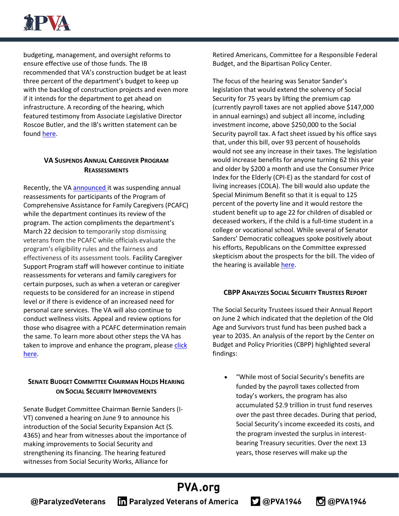

budgeting, management, and oversight reforms to ensure effective use of those funds. The IB recommended that VA's construction budget be at least three percent of the department's budget to keep up with the backlog of construction projects and even more if it intends for the department to get ahead on infrastructure. A recording of the hearing, which featured testimony from Associate Legislative Director Roscoe Butler, and the IB's written statement can be found [here.](https://www.veterans.senate.gov/2022/6/review-of-the-fiscal-year-2023-budget-and-2024-advance-appropriations-requests-for-the-department-of-veterans-affairs)

#### **VA SUSPENDS ANNUAL CAREGIVER PROGRAM REASSESSMENTS**

Recently, the VA [announced](https://www.va.gov/OPA/PRESSREL/includes/viewPDF.cfm?id=5798) it was suspending annual reassessments for participants of the Program of Comprehensive Assistance for Family Caregivers (PCAFC) while the department continues its review of the program. The action compliments the department's March 22 decision to temporarily stop dismissing veterans from the PCAFC while officials evaluate the program's eligibility rules and the fairness and effectiveness of its assessment tools. Facility Caregiver Support Program staff will however continue to initiate reassessments for veterans and family caregivers for certain purposes, such as when a veteran or caregiver requests to be considered for an increase in stipend level or if there is evidence of an increased need for personal care services. The VA will also continue to conduct wellness visits. Appeal and review options for those who disagree with a PCAFC determination remain the same. To learn more about other steps the VA has taken to improve and enhance the program, please click [here.](https://blogs.va.gov/VAntage/104152/va-takes-bold-steps-to-improve-support-for-caregivers/)

#### **SENATE BUDGET COMMITTEE CHAIRMAN HOLDS HEARING ON SOCIAL SECURITY IMPROVEMENTS**

Senate Budget Committee Chairman Bernie Sanders (I-VT) convened a hearing on June 9 to announce his introduction of the Social Security Expansion Act (S. 4365) and hear from witnesses about the importance of making improvements to Social Security and strengthening its financing. The hearing featured witnesses from Social Security Works, Alliance for

Retired Americans, Committee for a Responsible Federal Budget, and the Bipartisan Policy Center.

The focus of the hearing was Senator Sander's legislation that would extend the solvency of Social Security for 75 years by lifting the premium cap (currently payroll taxes are not applied above \$147,000 in annual earnings) and subject all income, including investment income, above \$250,000 to the Social Security payroll tax. A fact sheet issued by his office says that, under this bill, over 93 percent of households would not see any increase in their taxes. The legislation would increase benefits for anyone turning 62 this year and older by \$200 a month and use the Consumer Price Index for the Elderly (CPI-E) as the standard for cost of living increases (COLA). The bill would also update the Special Minimum Benefit so that it is equal to 125 percent of the poverty line and it would restore the student benefit up to age 22 for children of disabled or deceased workers, if the child is a full-time student in a college or vocational school. While several of Senator Sanders' Democratic colleagues spoke positively about his efforts, Republicans on the Committee expressed skepticism about the prospects for the bill. The video of the hearing is availabl[e here.](https://www.budget.senate.gov/hearings/saving-social-security-expanding-benefits-and-demanding-the-wealthy-pay-their-fair-share-or-cutting-benefits-and-increasing-retirement-anxiety)

#### **CBPP ANALYZES SOCIAL SECURITY TRUSTEES REPORT**

The Social Security Trustees issued their Annual Report on June 2 which indicated that the depletion of the Old Age and Survivors trust fund has been pushed back a year to 2035. An analysis of the report by the Center on Budget and Policy Priorities (CBPP) highlighted several findings:

• "While most of Social Security's benefits are funded by the payroll taxes collected from today's workers, the program has also accumulated \$2.9 trillion in trust fund reserves over the past three decades. During that period, Social Security's income exceeded its costs, and the program invested the surplus in interestbearing Treasury securities. Over the next 13 years, those reserves will make up the

**O** @PVA1946

 $\Box$  @PVA1946

## **PVA.org**

@ParalyzedVeterans

**The Paralyzed Veterans of America**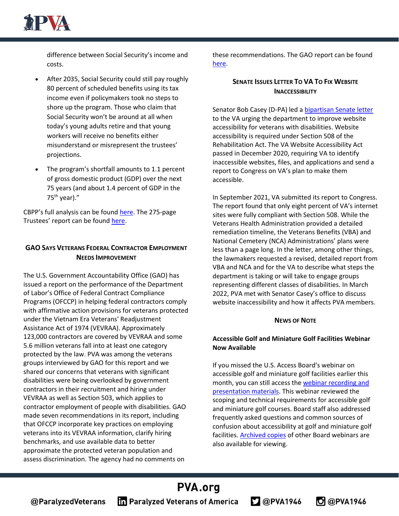

difference between Social Security's income and costs.

- After 2035, Social Security could still pay roughly 80 percent of scheduled benefits using its tax income even if policymakers took no steps to shore up the program. Those who claim that Social Security won't be around at all when today's young adults retire and that young workers will receive no benefits either misunderstand or misrepresent the trustees' projections.
- The program's shortfall amounts to 1.1 percent of gross domestic product (GDP) over the next 75 years (and about 1.4 percent of GDP in the  $75<sup>th</sup>$  year)."

CBPP's full analysis can be found [here.](https://www.cbpp.org/research/social-security/what-the-2022-trustees-report-shows-about-social-security) The 275-page Trustees' report can be found [here.](https://www.ssa.gov/oact/TR/2022/tr2022.pdf)

#### **GAO SAYS VETERANS FEDERAL CONTRACTOR EMPLOYMENT NEEDS IMPROVEMENT**

The U.S. Government Accountability Office (GAO) has issued a report on the performance of the Department of Labor's Office of Federal Contract Compliance Programs (OFCCP) in helping federal contractors comply with affirmative action provisions for veterans protected under the Vietnam Era Veterans' Readjustment Assistance Act of 1974 (VEVRAA). Approximately 123,000 contractors are covered by VEVRAA and some 5.6 million veterans fall into at least one category protected by the law. PVA was among the veterans groups interviewed by GAO for this report and we shared our concerns that veterans with significant disabilities were being overlooked by government contractors in their recruitment and hiring under VEVRAA as well as Section 503, which applies to contractor employment of people with disabilities. GAO made seven recommendations in its report, including that OFCCP incorporate key practices on employing veterans into its VEVRAA information, clarify hiring benchmarks, and use available data to better approximate the protected veteran population and assess discrimination. The agency had no comments on

these recommendations. The GAO report can be found [here.](https://www.gao.gov/products/gao-22-104599)

#### **SENATE ISSUES LETTER TO VA TO FIX WEBSITE INACCESSIBILITY**

Senator Bob Casey (D-PA) led [a bipartisan Senate letter](https://www.casey.senate.gov/news/releases/casey-leads-bipartisan-letter-urging-veterans-affairs-to-make-websites-accessible-for-people-with-disabilities) to the VA urging the department to improve website accessibility for veterans with disabilities. Website accessibility is required under Section 508 of the Rehabilitation Act. The VA Website Accessibility Act passed in December 2020, requiring VA to identify inaccessible websites, files, and applications and send a report to Congress on VA's plan to make them accessible.

In September 2021, VA submitted its report to Congress. The report found that only eight percent of VA's internet sites were fully compliant with Section 508. While the Veterans Health Administration provided a detailed remediation timeline, the Veterans Benefits (VBA) and National Cemetery (NCA) Administrations' plans were less than a page long. In the letter, among other things, the lawmakers requested a revised, detailed report from VBA and NCA and for the VA to describe what steps the department is taking or will take to engage groups representing different classes of disabilities. In March 2022, PVA met with Senator Casey's office to discuss website inaccessibility and how it affects PVA members.

#### **NEWS OF NOTE**

#### **Accessible Golf and Miniature Golf Facilities Webinar Now Available**

If you missed the U.S. Access Board's webinar on accessible golf and miniature golf facilities earlier this month, you can still access the [webinar recording and](https://protect-us.mimecast.com/s/YTcBCn5jXRukGmKhKQb6X?domain=lnks.gd)  [presentation materials.](https://protect-us.mimecast.com/s/YTcBCn5jXRukGmKhKQb6X?domain=lnks.gd) This webinar reviewed the scoping and technical requirements for accessible golf and miniature golf courses. Board staff also addressed frequently asked questions and common sources of confusion about accessibility at golf and miniature golf facilities[. Archived copies](https://www.accessibilityonline.org/ao/archives/) of other Board webinars are also available for viewing.

 $2@$ PVA1946

C @PVA1946

# **PVA.org**

**The Paralyzed Veterans of America**